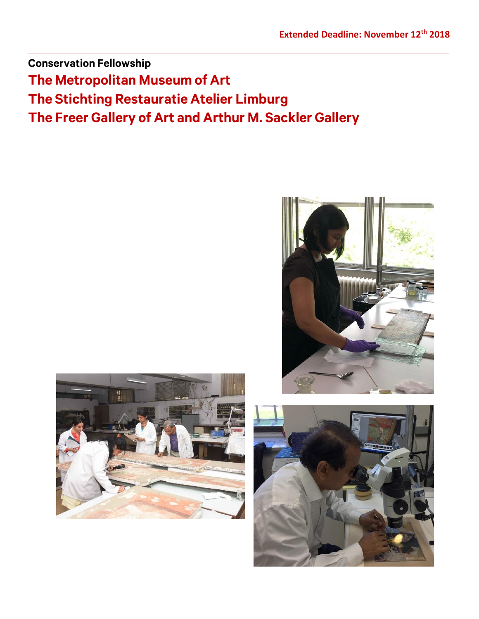**Conservation Fellowship The Metropolitan Museum of Art The Stichting Restauratie Atelier Limburg The Freer Gallery of Art and Arthur M. Sackler Gallery**

 $\_$  ,  $\_$  ,  $\_$  ,  $\_$  ,  $\_$  ,  $\_$  ,  $\_$  ,  $\_$  ,  $\_$  ,  $\_$  ,  $\_$  ,  $\_$  ,  $\_$  ,  $\_$  ,  $\_$  ,  $\_$  ,  $\_$  ,  $\_$  ,  $\_$  ,  $\_$  ,  $\_$  ,  $\_$  ,  $\_$  ,  $\_$  ,  $\_$  ,  $\_$  ,  $\_$  ,  $\_$  ,  $\_$  ,  $\_$  ,  $\_$  ,  $\_$  ,  $\_$  ,  $\_$  ,  $\_$  ,  $\_$  ,  $\_$  ,





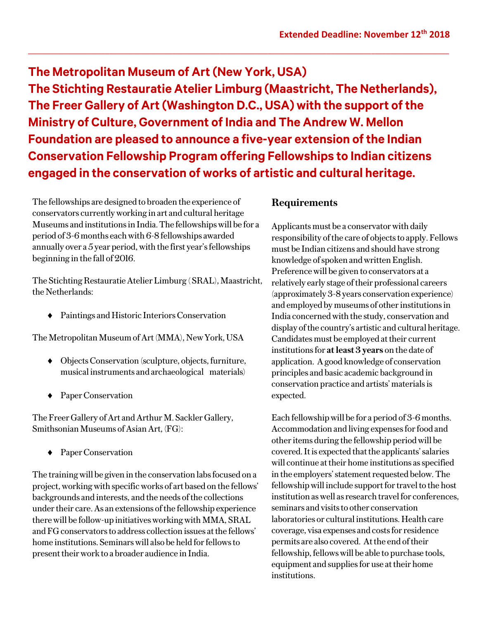**The Metropolitan Museum of Art (New York, USA) The Stichting Restauratie Atelier Limburg (Maastricht, The Netherlands), The Freer Gallery of Art (Washington D.C., USA) with the support of the Ministry of Culture, Government of India and The Andrew W. Mellon Foundation are pleased to announce a five-year extension of the Indian Conservation Fellowship Program offering Fellowships to Indian citizens engaged in the conservation of works of artistic and cultural heritage.** 

 $\_$  ,  $\_$  ,  $\_$  ,  $\_$  ,  $\_$  ,  $\_$  ,  $\_$  ,  $\_$  ,  $\_$  ,  $\_$  ,  $\_$  ,  $\_$  ,  $\_$  ,  $\_$  ,  $\_$  ,  $\_$  ,  $\_$  ,  $\_$  ,  $\_$  ,  $\_$  ,  $\_$  ,  $\_$  ,  $\_$  ,  $\_$  ,  $\_$  ,  $\_$  ,  $\_$  ,  $\_$  ,  $\_$  ,  $\_$  ,  $\_$  ,  $\_$  ,  $\_$  ,  $\_$  ,  $\_$  ,  $\_$  ,  $\_$  ,

The fellowships are designed to broaden the experience of conservators currently working in art and cultural heritage Museums and institutions in India. The fellowships will be for a period of 3-6 months each with 6-8 fellowships awarded annually over a 5 year period, with the first year's fellowships beginning in the fall of 2016.

The Stichting Restauratie Atelier Limburg ( SRAL), Maastricht, the Netherlands:

Paintings and Historic Interiors Conservation

The Metropolitan Museum of Art (MMA), New York, USA

- Objects Conservation (sculpture, objects, furniture, musical instruments and archaeological materials)
- ◆ Paper Conservation

The Freer Gallery of Art and Arthur M. Sackler Gallery, Smithsonian Museums of Asian Art, (FG):

◆ Paper Conservation

The training will be given in the conservation labs focused on a project, working with specific works of art based on the fellows' backgrounds and interests, and the needs of the collections under their care. As an extensions of the fellowship experience there will be follow-up initiatives working with MMA, SRAL and FG conservators to address collection issues at the fellows' home institutions. Seminars will also be held for fellows to present their work to a broader audience in India.

## **Requirements**

Applicants must be a conservator with daily responsibility of the care of objects to apply. Fellows must be Indian citizens and should have strong knowledge of spoken and written English. Preferencewill be given to conservators at a relatively early stage of their professional careers (approximately 3-8 years conservation experience) and employed by museums of other institutions in India concerned with the study, conservation and display of the country's artistic and cultural heritage. Candidates must be employed at their current institutions for **at least 3 years** on the date of application. A good knowledge of conservation principles and basic academic background in conservation practice and artists' materials is expected.

Each fellowship will be for a period of 3-6 months. Accommodation and living expenses for food and other items during the fellowship period will be covered. It is expected that the applicants' salaries will continue at their home institutions as specified in the employers' statement requested below. The fellowship will include support for travel to the host institution as well as research travel for conferences, seminars and visits to other conservation laboratories or cultural institutions. Health care coverage, visa expenses and costs for residence permits are also covered. At the end of their fellowship, fellows will be able to purchase tools, equipment and supplies for use at their home institutions.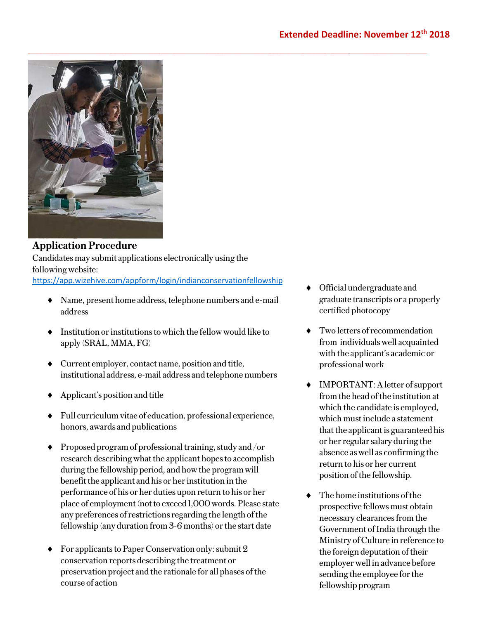

## **Application Procedure**

Candidates may submit applications electronically using the following website: <https://app.wizehive.com/appform/login/indianconservationfellowship>

 $\_$ 

- Name, present home address, telephone numbers and e-mail address
- $\bullet$  Institution or institutions to which the fellow would like to apply (SRAL, MMA, FG)
- Current employer, contact name, position and title, institutional address, e-mail address and telephone numbers
- Applicant's position and title
- Full curriculum vitae of education, professional experience, honors, awards and publications
- $\blacklozenge$  Proposed program of professional training, study and /or research describing what the applicant hopes to accomplish during the fellowship period, and how the program will benefit the applicant and his or her institution in the performance of his or her duties upon return to his or her place of employment (not to exceed 1,000 words. Please state any preferences of restrictions regarding the length of the fellowship (any duration from 3-6 months) or the start date
- $\blacklozenge$  For applicants to Paper Conservation only: submit 2 conservation reports describing the treatment or preservation project and the rationale for all phases of the course of action
- Official undergraduate and graduate transcripts or a properly certified photocopy
- Two letters of recommendation from individuals well acquainted with the applicant's academic or professional work
- IMPORTANT: A letter of support from the head of the institution at which the candidate is employed, which must include a statement that the applicant is guaranteed his or her regular salary during the absence as well as confirming the return to his or her current position of the fellowship.
- The home institutions of the prospective fellows must obtain necessary clearances from the Government of India through the Ministry of Culture in reference to the foreign deputation of their employerwell in advance before sending the employee for the fellowship program